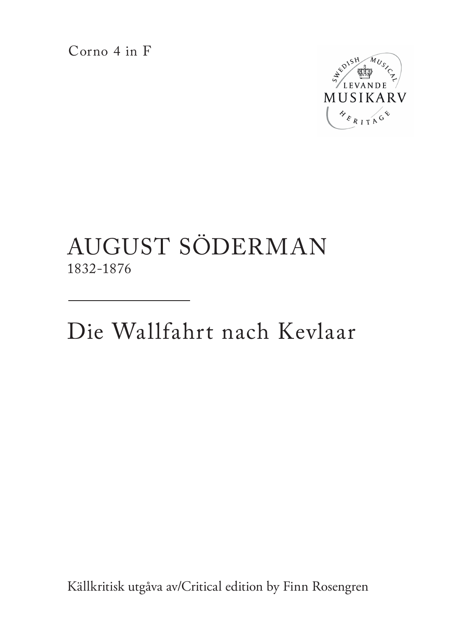Corno 4 in F



## AUGUST SÖDERMAN 1832-1876

Die Wallfahrt nach Kevlaar

Källkritisk utgåva av/Critical edition by Finn Rosengren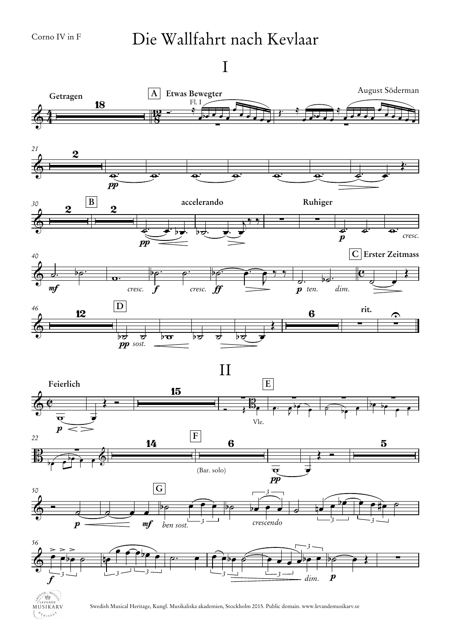MUSIKARV  $\mathcal{V}_{\ell_{RITA}^{G}}$ 

## Die Wallfahrt nach Kevlaar

I